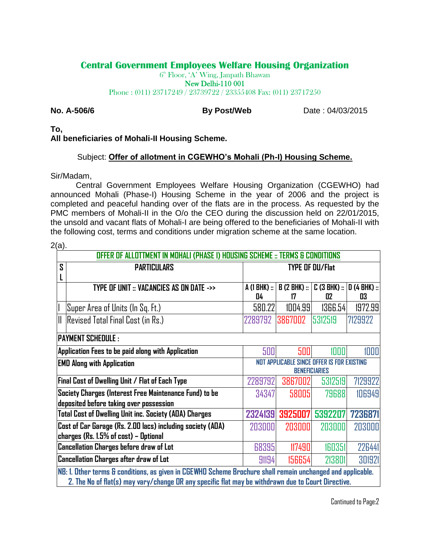# **Central Government Employees Welfare Housing Organization**

 $6<sup>th</sup>$  Floor, 'A' Wing, Janpath Bhawan New Delhi-110 001 Phone : (011) 23717249 / 23739722 / 23355408 Fax: (011) 23717250

**No. A-506/6 By Post/Web** Date : 04/03/2015

**To,**

## **All beneficiaries of Mohali-II Housing Scheme.**

## Subject: **Offer of allotment in CGEWHO's Mohali (Ph-I) Housing Scheme.**

## Sir/Madam,

Central Government Employees Welfare Housing Organization (CGEWHO) had announced Mohali (Phase-I) Housing Scheme in the year of 2006 and the project is completed and peaceful handing over of the flats are in the process. As requested by the PMC members of Mohali-II in the O/o the CEO during the discussion held on 22/01/2015, the unsold and vacant flats of Mohali-I are being offered to the beneficiaries of Mohali-II with the following cost, terms and conditions under migration scheme at the same location.

| ×<br>× |  |
|--------|--|

|                                                               | OFFER OF ALLOTTMENT IN MOHALI (PHASE I) HOUSING SCHEME :: TERMS & CONDITIONS                                                                                                                                     |                                                                    |                                                                 |         |         |  |  |
|---------------------------------------------------------------|------------------------------------------------------------------------------------------------------------------------------------------------------------------------------------------------------------------|--------------------------------------------------------------------|-----------------------------------------------------------------|---------|---------|--|--|
| S                                                             | <b>PARTICULARS</b>                                                                                                                                                                                               | <b>TYPE OF DU/Flat</b>                                             |                                                                 |         |         |  |  |
|                                                               |                                                                                                                                                                                                                  |                                                                    |                                                                 |         |         |  |  |
|                                                               | TYPE OF UNIT :: VACANCIES AS ON DATE ->>                                                                                                                                                                         | O4                                                                 | A (1 BHK) ::   B (2 BHK) ::   C (3 BHK) ::   D (4 BHK) ::<br>17 | 02      | 03      |  |  |
| $\overline{\phantom{a}}$                                      | Super Area of Units (In Sq. Ft.)                                                                                                                                                                                 | 580.22                                                             | 1004.99                                                         | 1366.54 | 1972.99 |  |  |
|                                                               | II Revised Total Final Cost (in Rs.)                                                                                                                                                                             | 2289792                                                            | 3867002                                                         | 5312519 | 7129922 |  |  |
|                                                               | <b>PAYMENT SCHEDULE :</b>                                                                                                                                                                                        |                                                                    |                                                                 |         |         |  |  |
|                                                               | Application Fees to be paid along with Application                                                                                                                                                               |                                                                    | 500<br>500                                                      | 1000    | 1000    |  |  |
|                                                               | <b>EMD Along with Application</b>                                                                                                                                                                                | NOT APPLICABLE SINCE OFFER IS FOR EXISTING<br><b>BENEFICIARIES</b> |                                                                 |         |         |  |  |
|                                                               | Final Cost of Dwelling Unit / Flat of Each Type<br>2289792<br>3867002<br>5312519                                                                                                                                 |                                                                    |                                                                 | 7129922 |         |  |  |
| Society Charges (Interest Free Maintenance Fund) to be        |                                                                                                                                                                                                                  | 34347                                                              | 58005                                                           | 79688   | 106949  |  |  |
| deposited before taking over possession                       |                                                                                                                                                                                                                  |                                                                    |                                                                 |         |         |  |  |
| <b>Total Cost of Dwelling Unit inc. Society (ADA) Charges</b> |                                                                                                                                                                                                                  | 2324139                                                            | 3925007                                                         | 5392207 | 7236871 |  |  |
| Cost of Car Garage (Rs. 2.00 lacs) including society (ADA)    |                                                                                                                                                                                                                  | 203000                                                             | 203000                                                          | 203000  | 203000  |  |  |
|                                                               | charges (Rs. 1.5% of cost) - Optional<br><b>Cancellation Charges before draw of Lot</b>                                                                                                                          |                                                                    | 68395<br>117490                                                 | 160351  | 226441  |  |  |
|                                                               | Cancellation Charges after draw of Lot                                                                                                                                                                           |                                                                    | 156654<br>91194                                                 | 213801  | 301921  |  |  |
|                                                               | NB: 1. Other terms & conditions, as given in CGEWHO Scheme Brochure shall remain unchanged and applicable.<br>2. The No of flat(s) may vary/change DR any specific flat may be withdrawn due to Court Directive. |                                                                    |                                                                 |         |         |  |  |

Continued to Page:2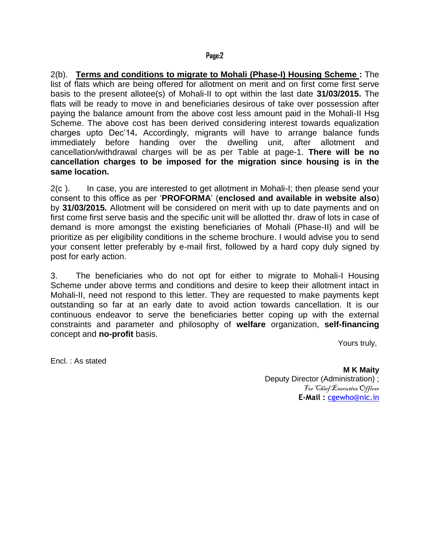2(b). **Terms and conditions to migrate to Mohali (Phase-I) Housing Scheme :** The list of flats which are being offered for allotment on merit and on first come first serve basis to the present allotee(s) of Mohali-II to opt within the last date **31/03/2015.** The flats will be ready to move in and beneficiaries desirous of take over possession after paying the balance amount from the above cost less amount paid in the Mohali-II Hsg Scheme. The above cost has been derived considering interest towards equalization charges upto Dec'14**.** Accordingly, migrants will have to arrange balance funds immediately before handing over the dwelling unit, after allotment and cancellation/withdrawal charges will be as per Table at page-1. **There will be no cancellation charges to be imposed for the migration since housing is in the same location.**

2(c ). In case, you are interested to get allotment in Mohali-I; then please send your consent to this office as per '**PROFORMA**' (**enclosed and available in website also**) by **31/03/2015.** Allotment will be considered on merit with up to date payments and on first come first serve basis and the specific unit will be allotted thr. draw of lots in case of demand is more amongst the existing beneficiaries of Mohali (Phase-II) and will be prioritize as per eligibility conditions in the scheme brochure. I would advise you to send your consent letter preferably by e-mail first, followed by a hard copy duly signed by post for early action.

3. The beneficiaries who do not opt for either to migrate to Mohali-I Housing Scheme under above terms and conditions and desire to keep their allotment intact in Mohali-II, need not respond to this letter. They are requested to make payments kept outstanding so far at an early date to avoid action towards cancellation. It is our continuous endeavor to serve the beneficiaries better coping up with the external constraints and parameter and philosophy of **welfare** organization, **self-financing** concept and **no-profit** basis.

Yours truly,

Encl. : As stated

**M K Maity**  Deputy Director (Administration) ; For Chief Executive Officer **E-Mail :** [cgewho@nic.in](mailto:cgewho@nic.in)